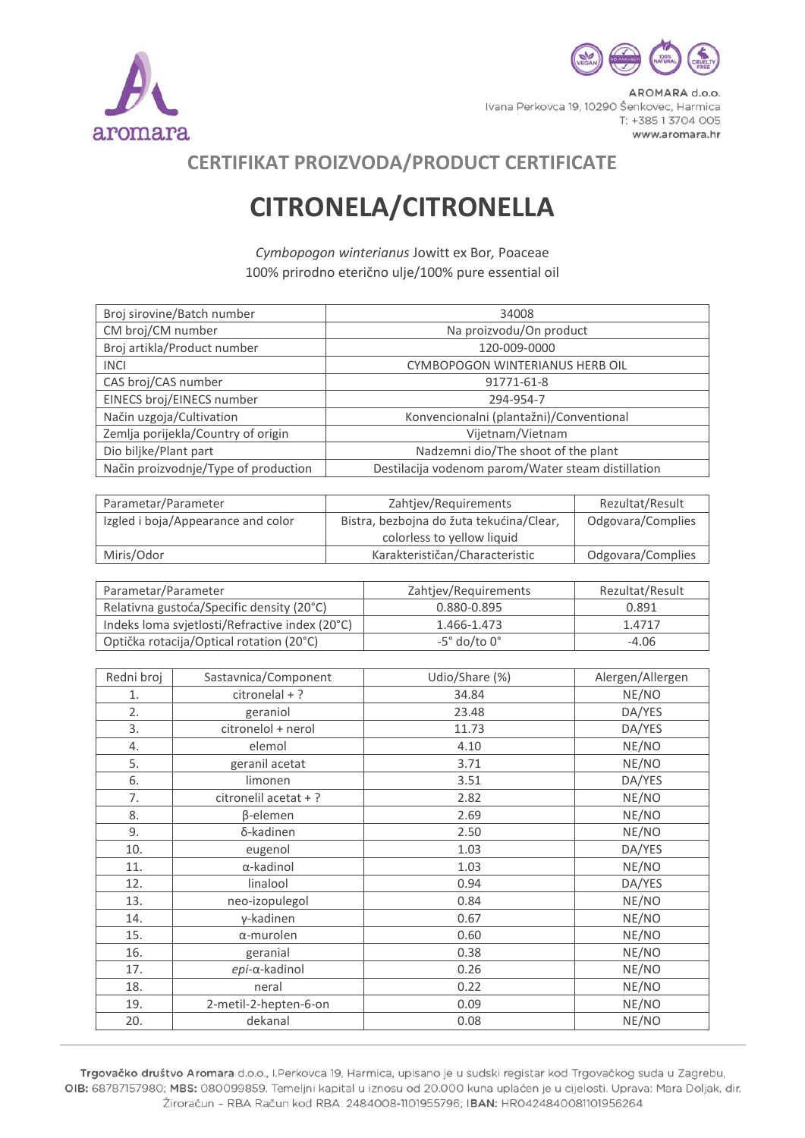



AROMARA doo Ivana Perkovca 19, 10290 Šenkovec, Harmica T: +385 1 3704 005 www.aromara.hr

## **CERTIFIKAT PROIZVODA/PRODUCT CERTIFICATE**

## **CITRONELA/CITRONELLA**

*Cymbopogon winterianus* Jowitt ex Bor*,* Poaceae 100% prirodno eterično ulje/100% pure essential oil

| Broj sirovine/Batch number           | 34008                                              |
|--------------------------------------|----------------------------------------------------|
| CM broj/CM number                    | Na proizvodu/On product                            |
| Broj artikla/Product number          | 120-009-0000                                       |
| <b>INCI</b>                          | <b>CYMBOPOGON WINTERIANUS HERB OIL</b>             |
| CAS broj/CAS number                  | 91771-61-8                                         |
| EINECS broj/EINECS number            | 294-954-7                                          |
| Način uzgoja/Cultivation             | Konvencionalni (plantažni)/Conventional            |
| Zemlja porijekla/Country of origin   | Vijetnam/Vietnam                                   |
| Dio biljke/Plant part                | Nadzemni dio/The shoot of the plant                |
| Način proizvodnje/Type of production | Destilacija vodenom parom/Water steam distillation |

| Parametar/Parameter                | Zahtjev/Requirements                     | Rezultat/Result   |
|------------------------------------|------------------------------------------|-------------------|
| Izgled i boja/Appearance and color | Bistra, bezbojna do žuta tekućina/Clear, | Odgovara/Complies |
|                                    | colorless to yellow liquid               |                   |
| Miris/Odor                         | Karakterističan/Characteristic           | Odgovara/Complies |

| Parametar/Parameter                            | Zahtjev/Requirements        | Rezultat/Result |
|------------------------------------------------|-----------------------------|-----------------|
| Relativna gustoća/Specific density (20°C)      | 0.880-0.895                 | 0.891           |
| Indeks Ioma svjetlosti/Refractive index (20°C) | 1.466-1.473                 | 1.4717          |
| Optička rotacija/Optical rotation (20°C)       | $-5^\circ$ do/to 0 $^\circ$ | -4.06           |

| Redni broj | Sastavnica/Component  | Udio/Share (%) | Alergen/Allergen |
|------------|-----------------------|----------------|------------------|
| 1.         | $citronelal + ?$      | 34.84          | NE/NO            |
| 2.         | geraniol              | 23.48          | DA/YES           |
| 3.         | citronelol + nerol    | 11.73          | DA/YES           |
| 4.         | elemol                | 4.10           | NE/NO            |
| 5.         | geranil acetat        | 3.71           | NE/NO            |
| 6.         | limonen               | 3.51           | DA/YES           |
| 7.         | citronelil acetat + ? | 2.82           | NE/NO            |
| 8.         | β-elemen              | 2.69           | NE/NO            |
| 9.         | δ-kadinen             | 2.50           | NE/NO            |
| 10.        | eugenol               | 1.03           | DA/YES           |
| 11.        | α-kadinol             | 1.03           | NE/NO            |
| 12.        | linalool              | 0.94           | DA/YES           |
| 13.        | neo-izopulegol        | 0.84           | NE/NO            |
| 14.        | γ-kadinen             | 0.67           | NE/NO            |
| 15.        | $\alpha$ -murolen     | 0.60           | NE/NO            |
| 16.        | geranial              | 0.38           | NE/NO            |
| 17.        | epi-α-kadinol         | 0.26           | NE/NO            |
| 18.        | neral                 | 0.22           | NE/NO            |
| 19.        | 2-metil-2-hepten-6-on | 0.09           | NE/NO            |
| 20.        | dekanal               | 0.08           | NE/NO            |

Trgovačko društvo Aromara d.o.o., I.Perkovca 19, Harmica, upisano je u sudski registar kod Trgovačkog suda u Zagrebu, OIB: 68787157980; MBS: 080099859. Temeljni kapital u iznosu od 20.000 kuna uplaćen je u cijelosti. Uprava: Mara Doljak, dir. Žiroračun - RBA Račun kod RBA: 2484008-1101955796; IBAN: HR0424840081101956264